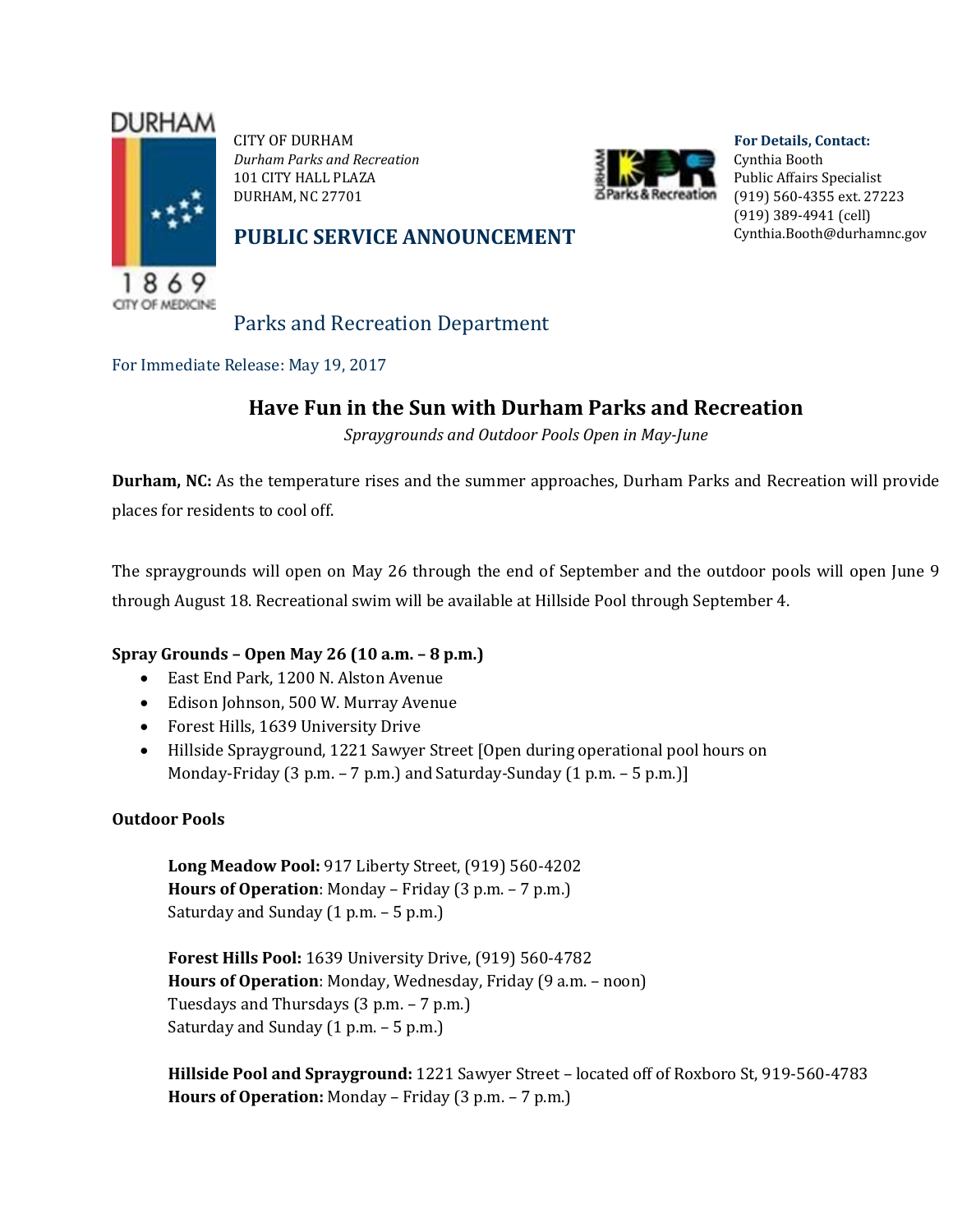# **DURHAM**



CITY OF DURHAM *Durham Parks and Recreation* 101 CITY HALL PLAZA DURHAM, NC 27701



**For Details, Contact:** Cynthia Booth Public Affairs Specialist (919) 560-4355 ext. 27223 (919) 389-4941 (cell) [Cynthia.Booth@durhamnc.gov](mailto:Cynthia.Booth@durhamnc.gov)

### **PUBLIC SERVICE ANNOUNCEMENT**

Parks and Recreation Department

For Immediate Release: May 19, 2017

## **Have Fun in the Sun with Durham Parks and Recreation**

*Spraygrounds and Outdoor Pools Open in May-June*

**Durham, NC:** As the temperature rises and the summer approaches, Durham Parks and Recreation will provide places for residents to cool off.

The spraygrounds will open on May 26 through the end of September and the outdoor pools will open June 9 through August 18. Recreational swim will be available at Hillside Pool through September 4.

#### **Spray Grounds – Open May 26 (10 a.m. – 8 p.m.)**

- East End Park, 1200 N. Alston Avenue
- Edison Johnson, 500 W. Murray Avenue
- Forest Hills, 1639 University Drive
- Hillside Sprayground, 1221 Sawyer Street [Open during operational pool hours on Monday-Friday (3 p.m. – 7 p.m.) and Saturday-Sunday (1 p.m. – 5 p.m.)]

#### **Outdoor Pools**

**Long Meadow Pool:** 917 Liberty Street, (919) 560-4202 **Hours of Operation**: Monday – Friday (3 p.m. – 7 p.m.) Saturday and Sunday (1 p.m. – 5 p.m.)

**Forest Hills Pool:** 1639 University Drive, (919) 560-4782 **Hours of Operation**: Monday, Wednesday, Friday (9 a.m. – noon) Tuesdays and Thursdays (3 p.m. – 7 p.m.) Saturday and Sunday  $(1 p.m. - 5 p.m.)$ 

**Hillside Pool and Sprayground:** 1221 Sawyer Street – located off of Roxboro St, 919-560-4783 **Hours of Operation:** Monday – Friday (3 p.m. – 7 p.m.)